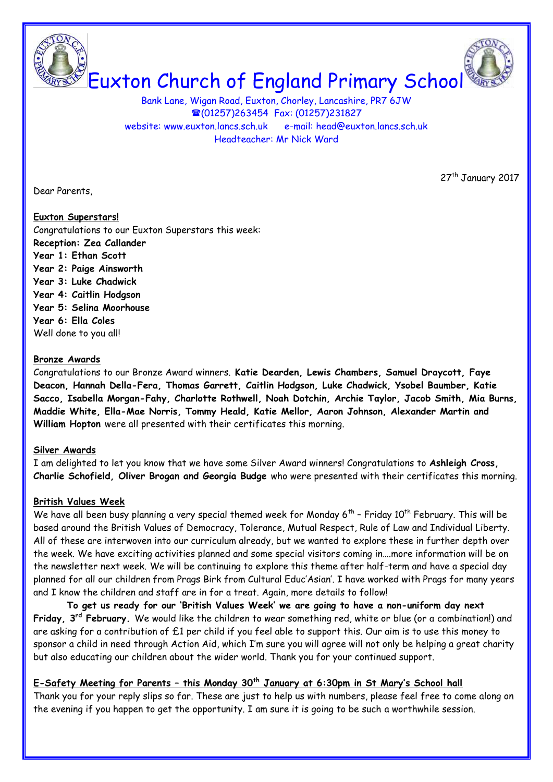Euxton Church of England Primary School

Bank Lane, Wigan Road, Euxton, Chorley, Lancashire, PR7 6JW (01257)263454 Fax: (01257)231827 website: [www.euxton.lancs.sch.uk](http://www.euxton.lancs.sch.uk/) e-mail: [head@euxton.lancs.sch.uk](mailto:head@euxton.lancs.sch.uk) Headteacher: Mr Nick Ward

Dear Parents,

27<sup>th</sup> January 2017

## **Euxton Superstars!**

Congratulations to our Euxton Superstars this week: **Reception: Zea Callander Year 1: Ethan Scott Year 2: Paige Ainsworth Year 3: Luke Chadwick Year 4: Caitlin Hodgson Year 5: Selina Moorhouse Year 6: Ella Coles** Well done to you all!

## **Bronze Awards**

Congratulations to our Bronze Award winners. **Katie Dearden, Lewis Chambers, Samuel Draycott, Faye Deacon, Hannah Della-Fera, Thomas Garrett, Caitlin Hodgson, Luke Chadwick, Ysobel Baumber, Katie Sacco, Isabella Morgan-Fahy, Charlotte Rothwell, Noah Dotchin, Archie Taylor, Jacob Smith, Mia Burns, Maddie White, Ella-Mae Norris, Tommy Heald, Katie Mellor, Aaron Johnson, Alexander Martin and William Hopton** were all presented with their certificates this morning.

#### **Silver Awards**

I am delighted to let you know that we have some Silver Award winners! Congratulations to **Ashleigh Cross, Charlie Schofield, Oliver Brogan and Georgia Budge** who were presented with their certificates this morning.

## **British Values Week**

We have all been busy planning a very special themed week for Monday 6<sup>th</sup> - Friday 10<sup>th</sup> February. This will be based around the British Values of Democracy, Tolerance, Mutual Respect, Rule of Law and Individual Liberty. All of these are interwoven into our curriculum already, but we wanted to explore these in further depth over the week. We have exciting activities planned and some special visitors coming in….more information will be on the newsletter next week. We will be continuing to explore this theme after half-term and have a special day planned for all our children from Prags Birk from Cultural Educ'Asian'. I have worked with Prags for many years and I know the children and staff are in for a treat. Again, more details to follow!

**To get us ready for our 'British Values Week' we are going to have a non-uniform day next Friday, 3rd February.** We would like the children to wear something red, white or blue (or a combination!) and are asking for a contribution of £1 per child if you feel able to support this. Our aim is to use this money to sponsor a child in need through Action Aid, which I'm sure you will agree will not only be helping a great charity but also educating our children about the wider world. Thank you for your continued support.

# **E-Safety Meeting for Parents – this Monday 30th January at 6:30pm in St Mary's School hall**

Thank you for your reply slips so far. These are just to help us with numbers, please feel free to come along on the evening if you happen to get the opportunity. I am sure it is going to be such a worthwhile session.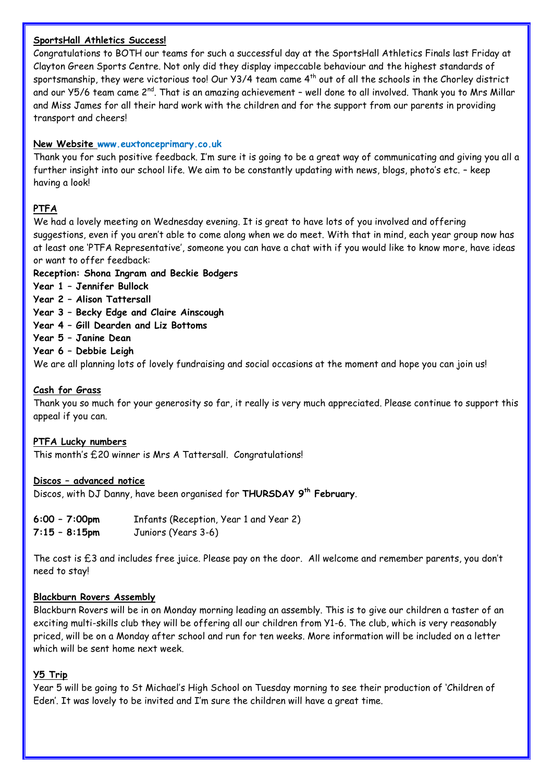## **SportsHall Athletics Success!**

Congratulations to BOTH our teams for such a successful day at the SportsHall Athletics Finals last Friday at Clayton Green Sports Centre. Not only did they display impeccable behaviour and the highest standards of sportsmanship, they were victorious too! Our Y3/4 team came 4<sup>th</sup> out of all the schools in the Chorley district and our Y5/6 team came 2<sup>nd</sup>. That is an amazing achievement - well done to all involved. Thank you to Mrs Millar and Miss James for all their hard work with the children and for the support from our parents in providing transport and cheers!

## **New Website [www.euxtonceprimary.co.uk](http://www.euxtonceprimary.co.uk/)**

Thank you for such positive feedback. I'm sure it is going to be a great way of communicating and giving you all a further insight into our school life. We aim to be constantly updating with news, blogs, photo's etc. – keep having a look!

## **PTFA**

We had a lovely meeting on Wednesday evening. It is great to have lots of you involved and offering suggestions, even if you aren't able to come along when we do meet. With that in mind, each year group now has at least one 'PTFA Representative', someone you can have a chat with if you would like to know more, have ideas or want to offer feedback:

## **Reception: Shona Ingram and Beckie Bodgers**

- **Year 1 – Jennifer Bullock**
- **Year 2 – Alison Tattersall**
- **Year 3 – Becky Edge and Claire Ainscough**
- **Year 4 – Gill Dearden and Liz Bottoms**
- **Year 5 – Janine Dean**
- **Year 6 – Debbie Leigh**

We are all planning lots of lovely fundraising and social occasions at the moment and hope you can join us!

## **Cash for Grass**

Thank you so much for your generosity so far, it really is very much appreciated. Please continue to support this appeal if you can.

#### **PTFA Lucky numbers**

This month's £20 winner is Mrs A Tattersall. Congratulations!

#### **Discos – advanced notice**

Discos, with DJ Danny, have been organised for **THURSDAY 9th February**.

**6:00 – 7:00pm** Infants (Reception, Year 1 and Year 2) **7:15 – 8:15pm** Juniors (Years 3-6)

The cost is £3 and includes free juice. Please pay on the door. All welcome and remember parents, you don't need to stay!

## **Blackburn Rovers Assembly**

Blackburn Rovers will be in on Monday morning leading an assembly. This is to give our children a taster of an exciting multi-skills club they will be offering all our children from Y1-6. The club, which is very reasonably priced, will be on a Monday after school and run for ten weeks. More information will be included on a letter which will be sent home next week.

#### **Y5 Trip**

Year 5 will be going to St Michael's High School on Tuesday morning to see their production of 'Children of Eden'. It was lovely to be invited and I'm sure the children will have a great time.